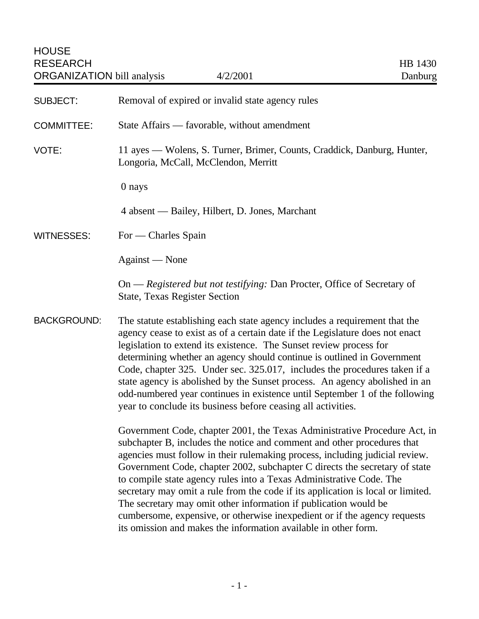| <b>SUBJECT:</b>    | Removal of expired or invalid state agency rules                                                                                                                                                                                                                                                                                                                                                                                                                                                                                                                                                                                                                                                 |
|--------------------|--------------------------------------------------------------------------------------------------------------------------------------------------------------------------------------------------------------------------------------------------------------------------------------------------------------------------------------------------------------------------------------------------------------------------------------------------------------------------------------------------------------------------------------------------------------------------------------------------------------------------------------------------------------------------------------------------|
| <b>COMMITTEE:</b>  | State Affairs — favorable, without amendment                                                                                                                                                                                                                                                                                                                                                                                                                                                                                                                                                                                                                                                     |
| VOTE:              | 11 ayes — Wolens, S. Turner, Brimer, Counts, Craddick, Danburg, Hunter,<br>Longoria, McCall, McClendon, Merritt                                                                                                                                                                                                                                                                                                                                                                                                                                                                                                                                                                                  |
|                    | 0 nays                                                                                                                                                                                                                                                                                                                                                                                                                                                                                                                                                                                                                                                                                           |
|                    | 4 absent — Bailey, Hilbert, D. Jones, Marchant                                                                                                                                                                                                                                                                                                                                                                                                                                                                                                                                                                                                                                                   |
| <b>WITNESSES:</b>  | For — Charles Spain                                                                                                                                                                                                                                                                                                                                                                                                                                                                                                                                                                                                                                                                              |
|                    | Against — None                                                                                                                                                                                                                                                                                                                                                                                                                                                                                                                                                                                                                                                                                   |
|                    | On — Registered but not testifying: Dan Procter, Office of Secretary of<br><b>State, Texas Register Section</b>                                                                                                                                                                                                                                                                                                                                                                                                                                                                                                                                                                                  |
| <b>BACKGROUND:</b> | The statute establishing each state agency includes a requirement that the<br>agency cease to exist as of a certain date if the Legislature does not enact<br>legislation to extend its existence. The Sunset review process for<br>determining whether an agency should continue is outlined in Government<br>Code, chapter 325. Under sec. 325.017, includes the procedures taken if a<br>state agency is abolished by the Sunset process. An agency abolished in an<br>odd-numbered year continues in existence until September 1 of the following<br>year to conclude its business before ceasing all activities.                                                                            |
|                    | Government Code, chapter 2001, the Texas Administrative Procedure Act, in<br>subchapter B, includes the notice and comment and other procedures that<br>agencies must follow in their rulemaking process, including judicial review.<br>Government Code, chapter 2002, subchapter C directs the secretary of state<br>to compile state agency rules into a Texas Administrative Code. The<br>secretary may omit a rule from the code if its application is local or limited.<br>The secretary may omit other information if publication would be<br>cumbersome, expensive, or otherwise inexpedient or if the agency requests<br>its omission and makes the information available in other form. |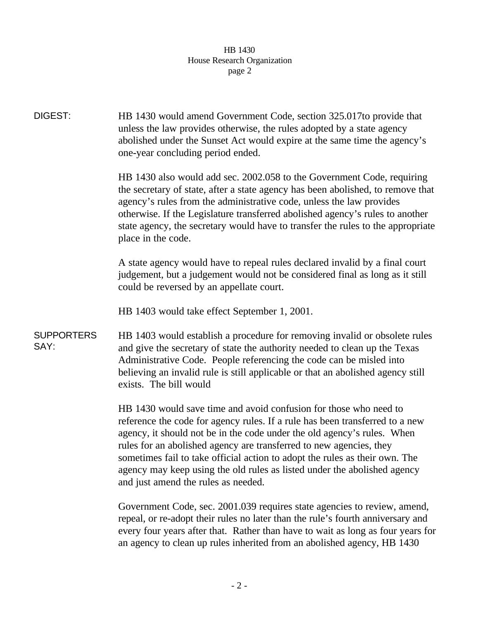## HB 1430 House Research Organization page 2

DIGEST: HB 1430 would amend Government Code, section 325.017to provide that unless the law provides otherwise, the rules adopted by a state agency abolished under the Sunset Act would expire at the same time the agency's one-year concluding period ended. HB 1430 also would add sec. 2002.058 to the Government Code, requiring the secretary of state, after a state agency has been abolished, to remove that agency's rules from the administrative code, unless the law provides otherwise. If the Legislature transferred abolished agency's rules to another state agency, the secretary would have to transfer the rules to the appropriate place in the code. A state agency would have to repeal rules declared invalid by a final court judgement, but a judgement would not be considered final as long as it still could be reversed by an appellate court. HB 1403 would take effect September 1, 2001. **SUPPORTERS** SAY: HB 1403 would establish a procedure for removing invalid or obsolete rules and give the secretary of state the authority needed to clean up the Texas Administrative Code. People referencing the code can be misled into believing an invalid rule is still applicable or that an abolished agency still exists. The bill would HB 1430 would save time and avoid confusion for those who need to reference the code for agency rules. If a rule has been transferred to a new agency, it should not be in the code under the old agency's rules. When rules for an abolished agency are transferred to new agencies, they sometimes fail to take official action to adopt the rules as their own. The agency may keep using the old rules as listed under the abolished agency and just amend the rules as needed. Government Code, sec. 2001.039 requires state agencies to review, amend,

repeal, or re-adopt their rules no later than the rule's fourth anniversary and every four years after that. Rather than have to wait as long as four years for an agency to clean up rules inherited from an abolished agency, HB 1430